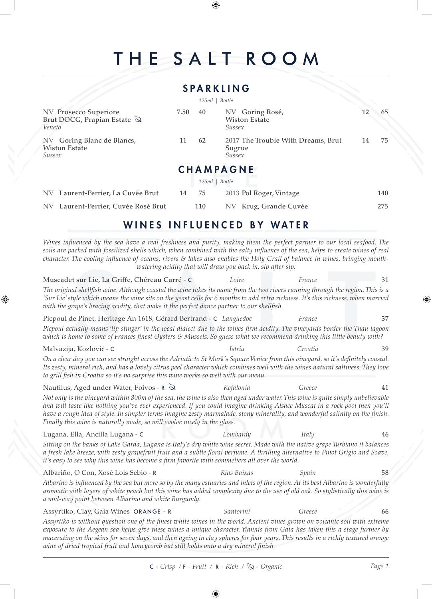# THE SALT ROOM

⊕

|                                                                          |      |       | <b>SPARKLING</b>                                       |    |     |
|--------------------------------------------------------------------------|------|-------|--------------------------------------------------------|----|-----|
|                                                                          |      | 125ml | Bottle                                                 |    |     |
| NV Prosecco Superiore<br>Brut DOCG, Prapian Estate $\mathbb Q$<br>Veneto | 7.50 | 40    | NV Goring Rosé,<br><b>Wiston Estate</b><br>Sussex      | 12 | 65  |
| Goring Blanc de Blancs,<br><b>NV</b><br><b>Wiston Estate</b><br>Sussex   |      | 62    | 2017 The Trouble With Dreams, Brut<br>Sugrue<br>Sussex | 14 | 75  |
|                                                                          |      |       | <b>CHAMPAGNE</b>                                       |    |     |
|                                                                          |      | 125ml | <b>Bottle</b>                                          |    |     |
| NV Laurent-Perrier, La Cuvée Brut                                        | 14   | 75    | 2013 Pol Roger, Vintage                                |    | 140 |
| Laurent-Perrier, Cuvée Rosé Brut<br><b>NV</b>                            |      | 110   | Krug, Grande Cuvée<br>NV                               |    | 275 |

### WINES INFLUENCED BY WATER

*Wines influenced by the sea have a real freshness and purity, making them the perfect partner to our local seafood. The soils are packed with fossilized shells which, when combined with the salty influence of the sea, helps to create wines of real character. The cooling influence of oceans, rivers & lakes also enables the Holy Grail of balance in wines, bringing mouthwatering acidity that will draw you back in, sip after sip.*

⊕

Muscadet sur Lie, La Griffe, Chéreau Carré - C *Loire France* 31 *The original shellfish wine. Although coastal the wine takes its name from the two rivers running through the region. This is a 'Sur Lie' style which means the wine sits on the yeast cells for 6 months to add extra richness. It's this richness, when married with the grape's bracing acidity, that make it the perfect dance partner to our shellfish.* Picpoul de Pinet, Heritage An 1618, Gérard Bertrand - C *Languedoc France* 37 *Picpoul actually means 'lip stinger' in the local dialect due to the wines firm acidity. The vineyards border the Thau lagoon which is home to some of Frances finest Oysters & Mussels. So guess what we recommend drinking this little beauty with?* Malvazija, Kozlovi - C *Istria Croatia* 39 *On a clear day you can see straight across the Adriatic to St Mark's Square Venice from this vineyard, so it's definitely coastal. Its zesty, mineral rich, and has a lovely citrus peel character which combines well with the wines natural saltiness. They love*  to grill fish in Croatia so it's no surprise this wine works so well with our menu. Nautilus, Aged under Water, Foivos - R  $\bigotimes$  *Kefalonia Greece Greece* 41 *Not only is the vineyard within 800m of the sea, the wine is also then aged under water. This wine is quite simply unbelievable and will taste like nothing you've ever experienced. If you could imagine drinking Alsace Muscat in a rock pool then you'll have a rough idea of style. In simpler terms imagine zesty marmalade, stony minerality, and wonderful salinity on the finish. Finally this wine is naturally made, so will evolve nicely in the glass.* Lugana, Ella, Ancilla Lugana - C *Lombardy Italy* 46 *Sitting on the banks of Lake Garda, Lugana is Italy's dry white wine secret. Made with the native grape Turbiano it balances a fresh lake breeze, with zesty grapefruit fruit and a subtle floral perfume. A thrilling alternative to Pinot Grigio and Soave, it's easy to see why this wine has become a firm favorite with sommeliers all over the world.* Albariño, O Con, Xosé Lois Sebio - R *Rias Baixas Spain* 58 *Albarino is influenced by the sea but more so by the many estuaries and inlets of the region. At its best Albarino is wonderfully aromatic with layers of white peach but this wine has added complexity due to the use of old oak. So stylistically this wine is a mid-way point between Albarino and white Burgundy.* Assyrtiko, Clay, Gaia Wines ORANGE - R *Santorini Greece* 66

*Assyrtiko is without question one of the finest white wines in the world. Ancient vines grown on volcanic soil with extreme exposure to the Aegean sea helps give these wines a unique character. Yiannis from Gaia has taken this a stage further by macerating on the skins for seven days, and then ageing in clay spheres for four years. This results in a richly textured orange wine of dried tropical fruit and honeycomb but still holds onto a dry mineral finish.*

C *- Crisp /* F *- Fruit /* R *- Rich / - Organic Page 1*

⊕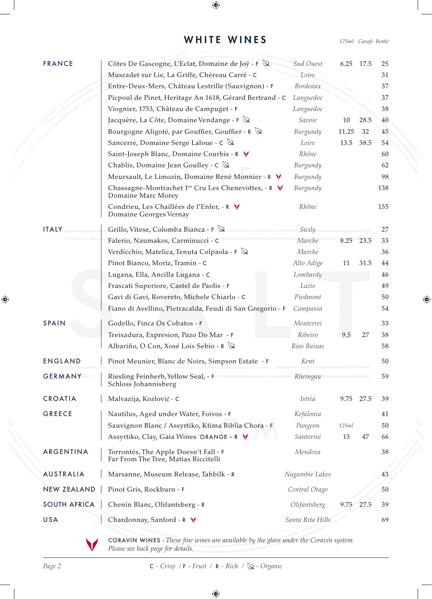### WHITE WINES *175ml Carafe Bottle*

 $\bigoplus$ 

 $\bigoplus$ 

| <b>FRANCE</b><br>Côtes De Gascogne, L'Eclat, Domaine de Joÿ - F Q<br>Sud Ouest<br>6.25<br>Muscadet sur Lie, La Griffe, Chéreau Carré - C<br>Loire<br>Bordeaux<br>Entre-Deux-Mers, Château Lestrille (Sauvignon) - F<br>Picpoul de Pinet, Heritage An 1618, Gérard Bertrand - C<br>Languedoc<br>Viognier, 1753, Château de Campuget - F<br>Languedoc<br>Jacquère, La Côte, Domaine Vendange - $F \otimes$<br>Savoie<br>10<br>Bourgogne Aligoté, par Gouffier, Gouffier - $R \nabla$<br>Burgundy<br>11.25<br>Sancerre, Domaine Serge Laloue - $C \mathbb{Q}$<br>Loire<br>13.5<br>Saint-Joseph Blanc, Domaine Courbis - R V<br>Rhône<br>Chablis, Domaine Jean Goulley - $C \mathbb{Q}$<br>Burgundy<br>Meursault, Le Limozin, Domaine René Monnier - R V<br>Burgundy<br>Chassagne-Montrachet 1er Cru Les Chenevottes, - R V<br>Burgundy<br>Domaine Marc Morey<br>Condrieu, Les Chaillées de l'Enfer, - R V<br>Rhône<br>Domaine Georges Vernay<br>Grillo, Vitese, Colomba Bianca - F $\mathbb Q$<br><b>ITALY</b><br>Sicily<br>Falerio, Naumakos, Carminucci - C<br>Marche<br>8.25<br>Verdicchio, Matelica, Tenuta Colpaola - $F \mathbb{Q}$<br>Marche<br>Pinot Bianco, Moriz, Tramin - C<br>Alto Adige<br>11<br>Lugana, Ella, Ancilla Lugana - C<br>Lombardy<br>Frascati Superiore, Castel de Paolis - F<br>Lazio<br>Piedmont<br>Gavi di Gavi, Rovereto, Michele Chiarlo - C<br>Fiano di Avellino, Pietracalda, Feudi di San Gregorio - F<br>Campania<br><b>SPAIN</b><br>Godello, Finca Os Cobatos - F<br>Monterrei<br>Ribeiro<br>Treixadura, Expresion, Pazo Do Mar - F<br>9.5<br>Albariño, O Con, Xosé Lois Sebio - R Q<br>Rias Baixas<br><b>ENGLAND</b><br>Pinot Meunier, Blanc de Noirs, Simpson Estate - F<br>Kent<br><b>GERMANY</b><br>Riesling Feinherb, Yellow Seal, - F<br>Rheingau<br>Schloss Johannisberg<br><b>CROATIA</b><br>Malvazija, Kozlović - C<br><i>Istria</i><br>9.75<br><b>GREECE</b><br>Nautilus, Aged under Water, Foivos - F<br>Kefalonia<br>Sauvignon Blanc / Assyrtiko, Ktima Biblia Chora - F<br>Pangeon<br>125ml<br>Assyrtiko, Clay, Gaia Wines ORANGE - R V<br>Santorini<br>13<br>ARGENTINA<br>Torrontés, The Apple Doesn't Fall - F<br>Mendoza<br>Far From The Tree, Matias Riccitelli<br><b>AUSTRALIA</b><br>Marsanne, Museum Release, Tahbilk - R<br>Nagambie Lakes<br><b>NEW ZEALAND</b><br>Pinot Gris, Rockburn - F<br>Central Otago<br><b>SOUTH AFRICA</b><br>Chenin Blanc, Olifantsberg - R<br>Olifantsberg<br>9.75<br>USA<br>Chardonnay, Sanford - R V<br>Santa Rita Hills |  |  |        |     |
|-------------------------------------------------------------------------------------------------------------------------------------------------------------------------------------------------------------------------------------------------------------------------------------------------------------------------------------------------------------------------------------------------------------------------------------------------------------------------------------------------------------------------------------------------------------------------------------------------------------------------------------------------------------------------------------------------------------------------------------------------------------------------------------------------------------------------------------------------------------------------------------------------------------------------------------------------------------------------------------------------------------------------------------------------------------------------------------------------------------------------------------------------------------------------------------------------------------------------------------------------------------------------------------------------------------------------------------------------------------------------------------------------------------------------------------------------------------------------------------------------------------------------------------------------------------------------------------------------------------------------------------------------------------------------------------------------------------------------------------------------------------------------------------------------------------------------------------------------------------------------------------------------------------------------------------------------------------------------------------------------------------------------------------------------------------------------------------------------------------------------------------------------------------------------------------------------------------------------------------------------------------------------------------------------------------------------------------------------------------------------------------------------------------------------------------------------------------------------------------------------------------|--|--|--------|-----|
|                                                                                                                                                                                                                                                                                                                                                                                                                                                                                                                                                                                                                                                                                                                                                                                                                                                                                                                                                                                                                                                                                                                                                                                                                                                                                                                                                                                                                                                                                                                                                                                                                                                                                                                                                                                                                                                                                                                                                                                                                                                                                                                                                                                                                                                                                                                                                                                                                                                                                                             |  |  | - 17.5 | 25  |
|                                                                                                                                                                                                                                                                                                                                                                                                                                                                                                                                                                                                                                                                                                                                                                                                                                                                                                                                                                                                                                                                                                                                                                                                                                                                                                                                                                                                                                                                                                                                                                                                                                                                                                                                                                                                                                                                                                                                                                                                                                                                                                                                                                                                                                                                                                                                                                                                                                                                                                             |  |  |        | 31  |
|                                                                                                                                                                                                                                                                                                                                                                                                                                                                                                                                                                                                                                                                                                                                                                                                                                                                                                                                                                                                                                                                                                                                                                                                                                                                                                                                                                                                                                                                                                                                                                                                                                                                                                                                                                                                                                                                                                                                                                                                                                                                                                                                                                                                                                                                                                                                                                                                                                                                                                             |  |  |        | 37  |
|                                                                                                                                                                                                                                                                                                                                                                                                                                                                                                                                                                                                                                                                                                                                                                                                                                                                                                                                                                                                                                                                                                                                                                                                                                                                                                                                                                                                                                                                                                                                                                                                                                                                                                                                                                                                                                                                                                                                                                                                                                                                                                                                                                                                                                                                                                                                                                                                                                                                                                             |  |  |        | 37  |
|                                                                                                                                                                                                                                                                                                                                                                                                                                                                                                                                                                                                                                                                                                                                                                                                                                                                                                                                                                                                                                                                                                                                                                                                                                                                                                                                                                                                                                                                                                                                                                                                                                                                                                                                                                                                                                                                                                                                                                                                                                                                                                                                                                                                                                                                                                                                                                                                                                                                                                             |  |  |        | 38  |
|                                                                                                                                                                                                                                                                                                                                                                                                                                                                                                                                                                                                                                                                                                                                                                                                                                                                                                                                                                                                                                                                                                                                                                                                                                                                                                                                                                                                                                                                                                                                                                                                                                                                                                                                                                                                                                                                                                                                                                                                                                                                                                                                                                                                                                                                                                                                                                                                                                                                                                             |  |  | 28.5   | 40  |
|                                                                                                                                                                                                                                                                                                                                                                                                                                                                                                                                                                                                                                                                                                                                                                                                                                                                                                                                                                                                                                                                                                                                                                                                                                                                                                                                                                                                                                                                                                                                                                                                                                                                                                                                                                                                                                                                                                                                                                                                                                                                                                                                                                                                                                                                                                                                                                                                                                                                                                             |  |  | 32     | 45  |
|                                                                                                                                                                                                                                                                                                                                                                                                                                                                                                                                                                                                                                                                                                                                                                                                                                                                                                                                                                                                                                                                                                                                                                                                                                                                                                                                                                                                                                                                                                                                                                                                                                                                                                                                                                                                                                                                                                                                                                                                                                                                                                                                                                                                                                                                                                                                                                                                                                                                                                             |  |  | 38.5   | 54  |
|                                                                                                                                                                                                                                                                                                                                                                                                                                                                                                                                                                                                                                                                                                                                                                                                                                                                                                                                                                                                                                                                                                                                                                                                                                                                                                                                                                                                                                                                                                                                                                                                                                                                                                                                                                                                                                                                                                                                                                                                                                                                                                                                                                                                                                                                                                                                                                                                                                                                                                             |  |  |        | 60  |
|                                                                                                                                                                                                                                                                                                                                                                                                                                                                                                                                                                                                                                                                                                                                                                                                                                                                                                                                                                                                                                                                                                                                                                                                                                                                                                                                                                                                                                                                                                                                                                                                                                                                                                                                                                                                                                                                                                                                                                                                                                                                                                                                                                                                                                                                                                                                                                                                                                                                                                             |  |  |        | 62  |
|                                                                                                                                                                                                                                                                                                                                                                                                                                                                                                                                                                                                                                                                                                                                                                                                                                                                                                                                                                                                                                                                                                                                                                                                                                                                                                                                                                                                                                                                                                                                                                                                                                                                                                                                                                                                                                                                                                                                                                                                                                                                                                                                                                                                                                                                                                                                                                                                                                                                                                             |  |  |        | 98  |
|                                                                                                                                                                                                                                                                                                                                                                                                                                                                                                                                                                                                                                                                                                                                                                                                                                                                                                                                                                                                                                                                                                                                                                                                                                                                                                                                                                                                                                                                                                                                                                                                                                                                                                                                                                                                                                                                                                                                                                                                                                                                                                                                                                                                                                                                                                                                                                                                                                                                                                             |  |  |        | 138 |
|                                                                                                                                                                                                                                                                                                                                                                                                                                                                                                                                                                                                                                                                                                                                                                                                                                                                                                                                                                                                                                                                                                                                                                                                                                                                                                                                                                                                                                                                                                                                                                                                                                                                                                                                                                                                                                                                                                                                                                                                                                                                                                                                                                                                                                                                                                                                                                                                                                                                                                             |  |  |        | 155 |
|                                                                                                                                                                                                                                                                                                                                                                                                                                                                                                                                                                                                                                                                                                                                                                                                                                                                                                                                                                                                                                                                                                                                                                                                                                                                                                                                                                                                                                                                                                                                                                                                                                                                                                                                                                                                                                                                                                                                                                                                                                                                                                                                                                                                                                                                                                                                                                                                                                                                                                             |  |  |        | 27  |
|                                                                                                                                                                                                                                                                                                                                                                                                                                                                                                                                                                                                                                                                                                                                                                                                                                                                                                                                                                                                                                                                                                                                                                                                                                                                                                                                                                                                                                                                                                                                                                                                                                                                                                                                                                                                                                                                                                                                                                                                                                                                                                                                                                                                                                                                                                                                                                                                                                                                                                             |  |  | 23.5   | 33  |
|                                                                                                                                                                                                                                                                                                                                                                                                                                                                                                                                                                                                                                                                                                                                                                                                                                                                                                                                                                                                                                                                                                                                                                                                                                                                                                                                                                                                                                                                                                                                                                                                                                                                                                                                                                                                                                                                                                                                                                                                                                                                                                                                                                                                                                                                                                                                                                                                                                                                                                             |  |  |        | 36  |
|                                                                                                                                                                                                                                                                                                                                                                                                                                                                                                                                                                                                                                                                                                                                                                                                                                                                                                                                                                                                                                                                                                                                                                                                                                                                                                                                                                                                                                                                                                                                                                                                                                                                                                                                                                                                                                                                                                                                                                                                                                                                                                                                                                                                                                                                                                                                                                                                                                                                                                             |  |  | 31.5   | 44  |
|                                                                                                                                                                                                                                                                                                                                                                                                                                                                                                                                                                                                                                                                                                                                                                                                                                                                                                                                                                                                                                                                                                                                                                                                                                                                                                                                                                                                                                                                                                                                                                                                                                                                                                                                                                                                                                                                                                                                                                                                                                                                                                                                                                                                                                                                                                                                                                                                                                                                                                             |  |  |        | 46  |
|                                                                                                                                                                                                                                                                                                                                                                                                                                                                                                                                                                                                                                                                                                                                                                                                                                                                                                                                                                                                                                                                                                                                                                                                                                                                                                                                                                                                                                                                                                                                                                                                                                                                                                                                                                                                                                                                                                                                                                                                                                                                                                                                                                                                                                                                                                                                                                                                                                                                                                             |  |  |        | 49  |
|                                                                                                                                                                                                                                                                                                                                                                                                                                                                                                                                                                                                                                                                                                                                                                                                                                                                                                                                                                                                                                                                                                                                                                                                                                                                                                                                                                                                                                                                                                                                                                                                                                                                                                                                                                                                                                                                                                                                                                                                                                                                                                                                                                                                                                                                                                                                                                                                                                                                                                             |  |  |        | 50  |
|                                                                                                                                                                                                                                                                                                                                                                                                                                                                                                                                                                                                                                                                                                                                                                                                                                                                                                                                                                                                                                                                                                                                                                                                                                                                                                                                                                                                                                                                                                                                                                                                                                                                                                                                                                                                                                                                                                                                                                                                                                                                                                                                                                                                                                                                                                                                                                                                                                                                                                             |  |  |        | 54  |
|                                                                                                                                                                                                                                                                                                                                                                                                                                                                                                                                                                                                                                                                                                                                                                                                                                                                                                                                                                                                                                                                                                                                                                                                                                                                                                                                                                                                                                                                                                                                                                                                                                                                                                                                                                                                                                                                                                                                                                                                                                                                                                                                                                                                                                                                                                                                                                                                                                                                                                             |  |  |        | 33  |
|                                                                                                                                                                                                                                                                                                                                                                                                                                                                                                                                                                                                                                                                                                                                                                                                                                                                                                                                                                                                                                                                                                                                                                                                                                                                                                                                                                                                                                                                                                                                                                                                                                                                                                                                                                                                                                                                                                                                                                                                                                                                                                                                                                                                                                                                                                                                                                                                                                                                                                             |  |  | 27     | 38  |
|                                                                                                                                                                                                                                                                                                                                                                                                                                                                                                                                                                                                                                                                                                                                                                                                                                                                                                                                                                                                                                                                                                                                                                                                                                                                                                                                                                                                                                                                                                                                                                                                                                                                                                                                                                                                                                                                                                                                                                                                                                                                                                                                                                                                                                                                                                                                                                                                                                                                                                             |  |  |        | 58  |
|                                                                                                                                                                                                                                                                                                                                                                                                                                                                                                                                                                                                                                                                                                                                                                                                                                                                                                                                                                                                                                                                                                                                                                                                                                                                                                                                                                                                                                                                                                                                                                                                                                                                                                                                                                                                                                                                                                                                                                                                                                                                                                                                                                                                                                                                                                                                                                                                                                                                                                             |  |  |        | 50  |
|                                                                                                                                                                                                                                                                                                                                                                                                                                                                                                                                                                                                                                                                                                                                                                                                                                                                                                                                                                                                                                                                                                                                                                                                                                                                                                                                                                                                                                                                                                                                                                                                                                                                                                                                                                                                                                                                                                                                                                                                                                                                                                                                                                                                                                                                                                                                                                                                                                                                                                             |  |  |        | 59  |
|                                                                                                                                                                                                                                                                                                                                                                                                                                                                                                                                                                                                                                                                                                                                                                                                                                                                                                                                                                                                                                                                                                                                                                                                                                                                                                                                                                                                                                                                                                                                                                                                                                                                                                                                                                                                                                                                                                                                                                                                                                                                                                                                                                                                                                                                                                                                                                                                                                                                                                             |  |  | 27.5   | 39  |
|                                                                                                                                                                                                                                                                                                                                                                                                                                                                                                                                                                                                                                                                                                                                                                                                                                                                                                                                                                                                                                                                                                                                                                                                                                                                                                                                                                                                                                                                                                                                                                                                                                                                                                                                                                                                                                                                                                                                                                                                                                                                                                                                                                                                                                                                                                                                                                                                                                                                                                             |  |  |        | 41  |
|                                                                                                                                                                                                                                                                                                                                                                                                                                                                                                                                                                                                                                                                                                                                                                                                                                                                                                                                                                                                                                                                                                                                                                                                                                                                                                                                                                                                                                                                                                                                                                                                                                                                                                                                                                                                                                                                                                                                                                                                                                                                                                                                                                                                                                                                                                                                                                                                                                                                                                             |  |  |        | 50  |
|                                                                                                                                                                                                                                                                                                                                                                                                                                                                                                                                                                                                                                                                                                                                                                                                                                                                                                                                                                                                                                                                                                                                                                                                                                                                                                                                                                                                                                                                                                                                                                                                                                                                                                                                                                                                                                                                                                                                                                                                                                                                                                                                                                                                                                                                                                                                                                                                                                                                                                             |  |  | 47     | 66  |
|                                                                                                                                                                                                                                                                                                                                                                                                                                                                                                                                                                                                                                                                                                                                                                                                                                                                                                                                                                                                                                                                                                                                                                                                                                                                                                                                                                                                                                                                                                                                                                                                                                                                                                                                                                                                                                                                                                                                                                                                                                                                                                                                                                                                                                                                                                                                                                                                                                                                                                             |  |  |        | 38  |
|                                                                                                                                                                                                                                                                                                                                                                                                                                                                                                                                                                                                                                                                                                                                                                                                                                                                                                                                                                                                                                                                                                                                                                                                                                                                                                                                                                                                                                                                                                                                                                                                                                                                                                                                                                                                                                                                                                                                                                                                                                                                                                                                                                                                                                                                                                                                                                                                                                                                                                             |  |  |        | 43  |
|                                                                                                                                                                                                                                                                                                                                                                                                                                                                                                                                                                                                                                                                                                                                                                                                                                                                                                                                                                                                                                                                                                                                                                                                                                                                                                                                                                                                                                                                                                                                                                                                                                                                                                                                                                                                                                                                                                                                                                                                                                                                                                                                                                                                                                                                                                                                                                                                                                                                                                             |  |  |        | 50  |
|                                                                                                                                                                                                                                                                                                                                                                                                                                                                                                                                                                                                                                                                                                                                                                                                                                                                                                                                                                                                                                                                                                                                                                                                                                                                                                                                                                                                                                                                                                                                                                                                                                                                                                                                                                                                                                                                                                                                                                                                                                                                                                                                                                                                                                                                                                                                                                                                                                                                                                             |  |  | 27.5   | 39  |
|                                                                                                                                                                                                                                                                                                                                                                                                                                                                                                                                                                                                                                                                                                                                                                                                                                                                                                                                                                                                                                                                                                                                                                                                                                                                                                                                                                                                                                                                                                                                                                                                                                                                                                                                                                                                                                                                                                                                                                                                                                                                                                                                                                                                                                                                                                                                                                                                                                                                                                             |  |  |        | 69  |

CORAVIN WINES - *These fine wines are available by the glass under the Coravin system. Please see back page for details.*

 $\bigoplus$ 

*Page 2* **C** - Crisp / **F** - Fruit / **R** - Rich /  $\bigotimes$  - Organic

 $\bigoplus$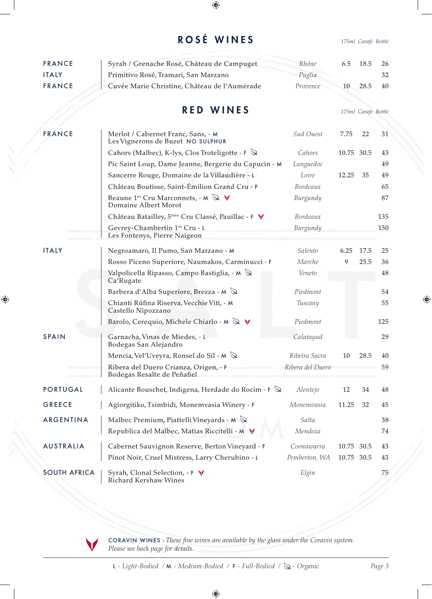## ROSÉ WINES *175ml Carafe Bottle*

 $\bigoplus$ 

| <b>FRANCE</b>       | Syrah / Grenache Rosé, Château de Campuget                                                | Rhône            | 6.5        | 18.5                | 26  |
|---------------------|-------------------------------------------------------------------------------------------|------------------|------------|---------------------|-----|
| <b>ITALY</b>        | Primitivo Rosé, Tramari, San Marzano                                                      | Puglia           |            |                     | 32  |
| <b>FRANCE</b>       | Cuvée Marie Christine, Château de l'Aumérade                                              | Provence         | 10         | 28.5                | 40  |
|                     |                                                                                           |                  |            |                     |     |
|                     | <b>RED WINES</b>                                                                          |                  |            | 175ml Carafe Bottle |     |
|                     |                                                                                           |                  |            |                     |     |
| <b>FRANCE</b>       | Merlot / Cabernet Franc, Sans, - M<br>Les Vignerons de Buzet NO SULPHUR                   | Sud Ouest        | 7.75       | 22                  | 31  |
|                     | Cahors (Malbec), K-lys, Clos Troteligotte - F $\mathbb Q$                                 | Cahors           | 10.75 30.5 |                     | 43  |
|                     | Pic Saint Loup, Dame Jeanne, Bergerie du Capucin - M                                      | Languedoc        |            |                     | 49  |
|                     | Sancerre Rouge, Domaine de la Villaudière - L                                             | Loire            | 12.25      | 35                  | 49  |
|                     | Château Boutisse, Saint-Émilion Grand Cru - F                                             | Bordeaux         |            |                     | 65  |
|                     | Beaune 1 <sup>er</sup> Cru Marconnets, - M $\mathbb{Q}$ $\forall$<br>Domaine Albert Morot | Burgundy         |            |                     | 87  |
|                     | Château Batailley, 5 <sup>ème</sup> Cru Classé, Pauillac - F V                            | Bordeaux         |            |                     | 135 |
|                     | Gevrey-Chambertin 1er Cru - L                                                             | Burgundy         |            |                     | 150 |
|                     | Les Fontenys, Pierre Naigeon                                                              |                  |            |                     |     |
| <b>ITALY</b>        | Negroamaro, Il Pumo, San Marzano - M                                                      | Salento          | 6.25       | 17.5                | 25  |
|                     | Rosso Piceno Superiore, Naumakos, Carminucci - F                                          | Marche           | 9          | 25.5                | 36  |
|                     | Valpolicella Ripasso, Campo Bastiglia, - M $\mathbb Q$<br>Ca'Rugate                       | Veneto           |            |                     | 48  |
|                     | Barbera d'Alba Superiore, Brezza - M $\mathbb Q$                                          | Piedmont         |            |                     | 54  |
|                     | Chianti Rúfina Riserva, Vecchie Viti, - M<br>Castello Nipozzano                           | Tuscany          |            |                     | 55  |
|                     | Barolo, Cerequio, Michele Chiarlo - M $\mathbb Q$ $\forall$                               | Piedmont         |            |                     | 125 |
| <b>SPAIN</b>        | Garnacha, Vinas de Miedes, - L<br>Bodegas San Alejandro                                   | Calatayud        |            |                     | 29  |
|                     | Mencia, Vel'Uveyra, Ronsel do Sil - M $\&$                                                | Ribeira Sacra    | 10         | 28.5                | 40  |
|                     | Ribera del Duero Crianza, Origen, - F<br>Bodegas Resalte de Peñafiel                      | Ribera del Duero |            |                     | 59  |
| <b>PORTUGAL</b>     | Alicante Bouschet, Indigena, Herdade do Rocim - $\mathsf{F} \, \mathbb{Q}$                | Alentejo         | 12         | 34                  | 48  |
| <b>GREECE</b>       | Agiorgitiko, Tsimbidi, Monemvasia Winery - F                                              | Monemvasia       | 11.25      | 32                  | 45  |
| ARGENTINA           | Malbec Premium, Piattelli Vineyards - $M \nightharpoonup$                                 | Salta            |            |                     | 38  |
|                     | Republica del Malbec, Matias Riccitelli - M V                                             | Mendoza          |            |                     | 74  |
| <b>AUSTRALIA</b>    | Cabernet Sauvignon Reserve, Berton Vineyard - F                                           | Coonawarra       | 10.75      | 30.5                | 43  |
|                     | Pinot Noir, Cruel Mistress, Larry Cherubino - L                                           | Pemberton, WA    | 10.75 30.5 |                     | 43  |
| <b>SOUTH AFRICA</b> | Syrah, Clonal Selection, - F V<br><b>Richard Kershaw Wines</b>                            | Elgin            |            |                     | 75  |

 $\bigoplus$ 

CORAVIN WINES - *These fine wines are available by the glass under the Coravin system. Please see back page for details.*

L - Light-Bodied / M - Medium-Bodied / F - Full-Bodied /  $\bigotimes$  - Organic *Page 3* 

⊕